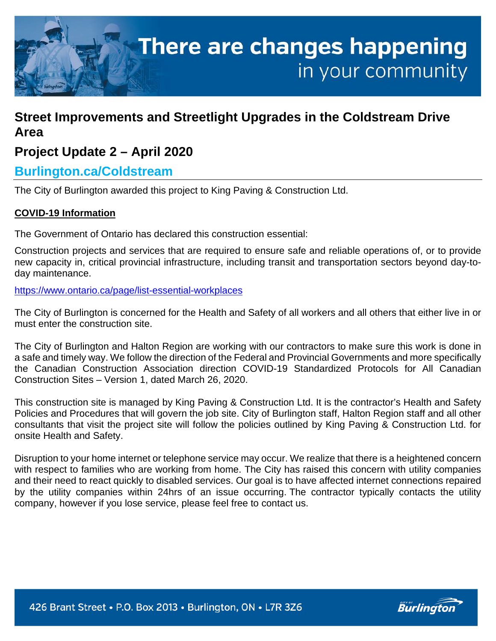

# **Street Improvements and Streetlight Upgrades in the Coldstream Drive Area**

# **Project Update 2 – April 2020**

# **Burlington.ca/Coldstream**

The City of Burlington awarded this project to King Paving & Construction Ltd.

## **COVID-19 Information**

The Government of Ontario has declared this construction essential:

Construction projects and services that are required to ensure safe and reliable operations of, or to provide new capacity in, critical provincial infrastructure, including transit and transportation sectors beyond day-today maintenance.

<https://www.ontario.ca/page/list-essential-workplaces>

The City of Burlington is concerned for the Health and Safety of all workers and all others that either live in or must enter the construction site.

The City of Burlington and Halton Region are working with our contractors to make sure this work is done in a safe and timely way. We follow the direction of the Federal and Provincial Governments and more specifically the Canadian Construction Association direction COVID-19 Standardized Protocols for All Canadian Construction Sites – Version 1, dated March 26, 2020.

This construction site is managed by King Paving & Construction Ltd. It is the contractor's Health and Safety Policies and Procedures that will govern the job site. City of Burlington staff, Halton Region staff and all other consultants that visit the project site will follow the policies outlined by King Paving & Construction Ltd. for onsite Health and Safety.

Disruption to your home internet or telephone service may occur. We realize that there is a heightened concern with respect to families who are working from home. The City has raised this concern with utility companies and their need to react quickly to disabled services. Our goal is to have affected internet connections repaired by the utility companies within 24hrs of an issue occurring. The contractor typically contacts the utility company, however if you lose service, please feel free to contact us.

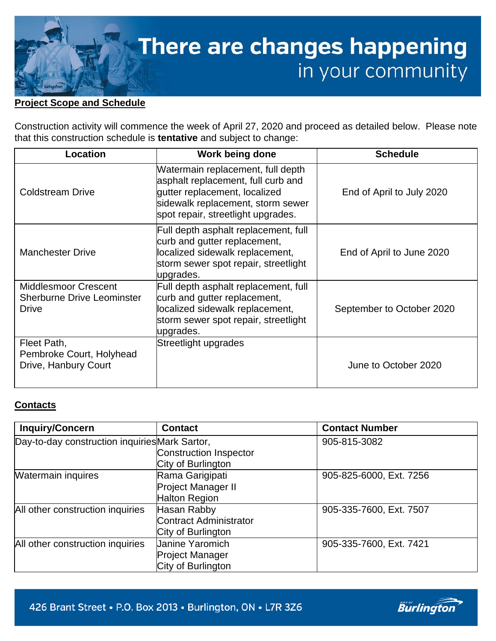

## **Project Scope and Schedule**

Construction activity will commence the week of April 27, 2020 and proceed as detailed below. Please note that this construction schedule is **tentative** and subject to change:

| Location                                                                         | Work being done                                                                                                                                                                     | <b>Schedule</b>           |
|----------------------------------------------------------------------------------|-------------------------------------------------------------------------------------------------------------------------------------------------------------------------------------|---------------------------|
| <b>Coldstream Drive</b>                                                          | Watermain replacement, full depth<br>asphalt replacement, full curb and<br>gutter replacement, localized<br>sidewalk replacement, storm sewer<br>spot repair, streetlight upgrades. | End of April to July 2020 |
| <b>Manchester Drive</b>                                                          | Full depth asphalt replacement, full<br>curb and gutter replacement,<br>localized sidewalk replacement,<br>storm sewer spot repair, streetlight<br>upgrades.                        | End of April to June 2020 |
| <b>Middlesmoor Crescent</b><br><b>Sherburne Drive Leominster</b><br><b>Drive</b> | Full depth asphalt replacement, full<br>curb and gutter replacement,<br>localized sidewalk replacement,<br>storm sewer spot repair, streetlight<br>upgrades.                        | September to October 2020 |
| Fleet Path,<br>Pembroke Court, Holyhead<br>Drive, Hanbury Court                  | Streetlight upgrades                                                                                                                                                                | June to October 2020      |

#### **Contacts**

| <b>Inquiry/Concern</b>                         | <b>Contact</b>         | <b>Contact Number</b>   |
|------------------------------------------------|------------------------|-------------------------|
| Day-to-day construction inquiries Mark Sartor, |                        | 905-815-3082            |
|                                                | Construction Inspector |                         |
|                                                | City of Burlington     |                         |
| <b>Watermain inquires</b>                      | Rama Garigipati        | 905-825-6000, Ext. 7256 |
|                                                | Project Manager II     |                         |
|                                                | Halton Region          |                         |
| All other construction inquiries               | Hasan Rabby            | 905-335-7600, Ext. 7507 |
|                                                | Contract Administrator |                         |
|                                                | City of Burlington     |                         |
| All other construction inquiries               | <b>Janine Yaromich</b> | 905-335-7600, Ext. 7421 |
|                                                | <b>Project Manager</b> |                         |
|                                                | City of Burlington     |                         |

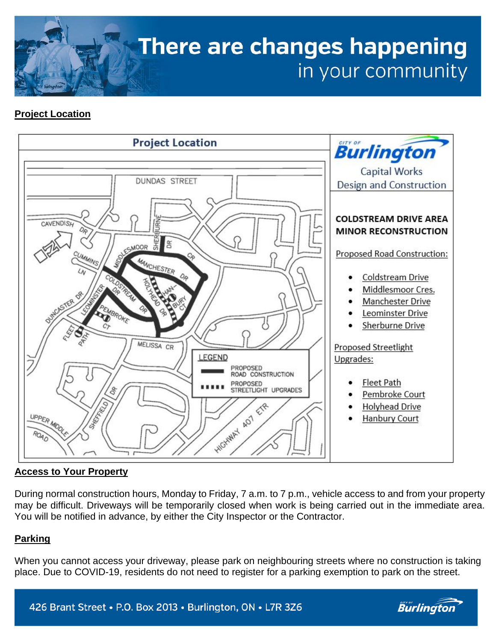

# **Project Location**



## **Access to Your Property**

During normal construction hours, Monday to Friday, 7 a.m. to 7 p.m., vehicle access to and from your property may be difficult. Driveways will be temporarily closed when work is being carried out in the immediate area. You will be notified in advance, by either the City Inspector or the Contractor.

## **Parking**

When you cannot access your driveway, please park on neighbouring streets where no construction is taking place. Due to COVID-19, residents do not need to register for a parking exemption to park on the street.



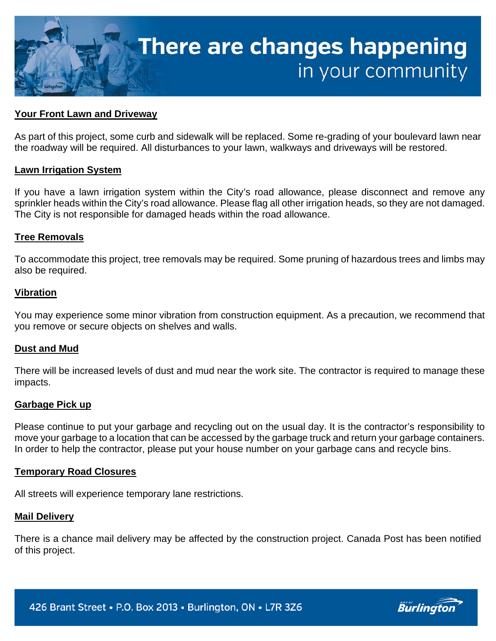

#### **Your Front Lawn and Driveway**

As part of this project, some curb and sidewalk will be replaced. Some re-grading of your boulevard lawn near the roadway will be required. All disturbances to your lawn, walkways and driveways will be restored.

#### **Lawn Irrigation System**

If you have a lawn irrigation system within the City's road allowance, please disconnect and remove any sprinkler heads within the City's road allowance. Please flag all other irrigation heads, so they are not damaged. The City is not responsible for damaged heads within the road allowance.

#### **Tree Removals**

To accommodate this project, tree removals may be required. Some pruning of hazardous trees and limbs may also be required.

#### **Vibration**

You may experience some minor vibration from construction equipment. As a precaution, we recommend that you remove or secure objects on shelves and walls.

#### **Dust and Mud**

There will be increased levels of dust and mud near the work site. The contractor is required to manage these impacts.

#### **Garbage Pick up**

Please continue to put your garbage and recycling out on the usual day. It is the contractor's responsibility to move your garbage to a location that can be accessed by the garbage truck and return your garbage containers. In order to help the contractor, please put your house number on your garbage cans and recycle bins.

#### **Temporary Road Closures**

All streets will experience temporary lane restrictions.

#### **Mail Delivery**

There is a chance mail delivery may be affected by the construction project. Canada Post has been notified of this project.